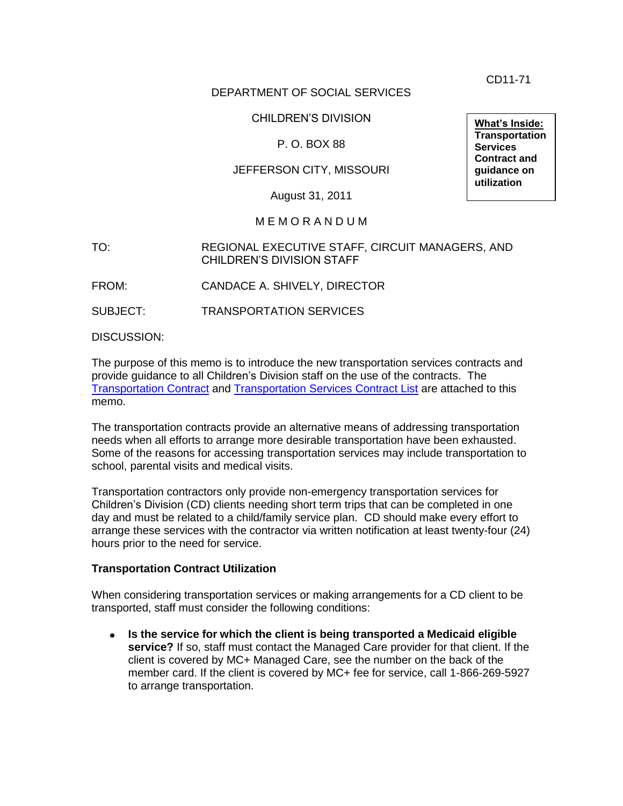CD11-71

#### DEPARTMENT OF SOCIAL SERVICES

#### CHILDREN'S DIVISION

#### P. O. BOX 88

#### JEFFERSON CITY, MISSOURI

August 31, 2011

#### M E M O R A N D U M

#### TO: REGIONAL EXECUTIVE STAFF, CIRCUIT MANAGERS, AND CHILDREN'S DIVISION STAFF

FROM: CANDACE A. SHIVELY, DIRECTOR

SUBJECT: TRANSPORTATION SERVICES

DISCUSSION:

The purpose of this memo is to introduce the new transportation services contracts and provide guidance to all Children's Division staff on the use of the contracts. The [Transportation Contract](cd11-071_atta.doc) and [Transportation Services Contract List](cd11-071_attb.xls) are attached to this memo.

The transportation contracts provide an alternative means of addressing transportation needs when all efforts to arrange more desirable transportation have been exhausted. Some of the reasons for accessing transportation services may include transportation to school, parental visits and medical visits.

Transportation contractors only provide non-emergency transportation services for Children's Division (CD) clients needing short term trips that can be completed in one day and must be related to a child/family service plan. CD should make every effort to arrange these services with the contractor via written notification at least twenty-four (24) hours prior to the need for service.

#### **Transportation Contract Utilization**

When considering transportation services or making arrangements for a CD client to be transported, staff must consider the following conditions:

**Is the service for which the client is being transported a Medicaid eligible**   $\bullet$ **service?** If so, staff must contact the Managed Care provider for that client. If the client is covered by MC+ Managed Care, see the number on the back of the member card. If the client is covered by MC+ fee for service, call 1-866-269-5927 to arrange transportation.

**What's Inside: Transportation Services Contract and guidance on utilization**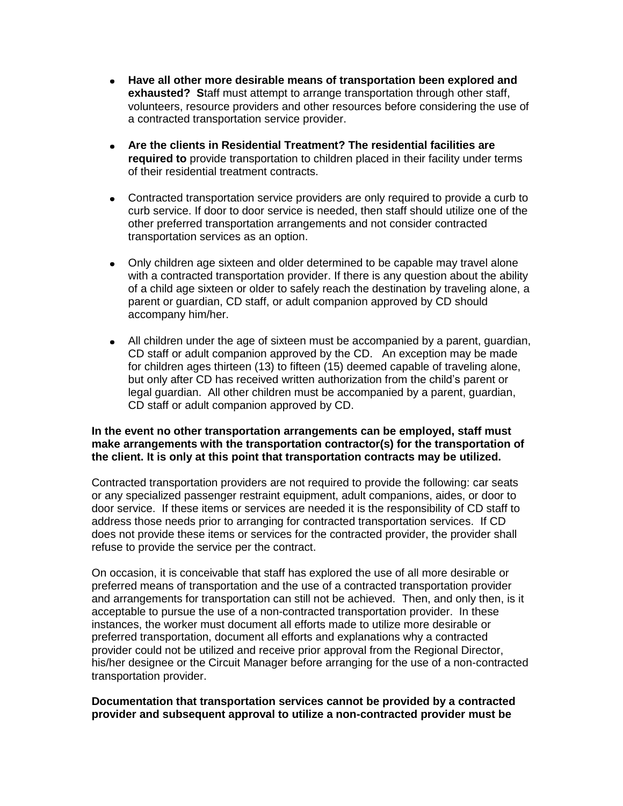- **Have all other more desirable means of transportation been explored and exhausted? S**taff must attempt to arrange transportation through other staff, volunteers, resource providers and other resources before considering the use of a contracted transportation service provider.
- **Are the clients in Residential Treatment? The residential facilities are required to** provide transportation to children placed in their facility under terms of their residential treatment contracts.
- Contracted transportation service providers are only required to provide a curb to curb service. If door to door service is needed, then staff should utilize one of the other preferred transportation arrangements and not consider contracted transportation services as an option.
- Only children age sixteen and older determined to be capable may travel alone with a contracted transportation provider. If there is any question about the ability of a child age sixteen or older to safely reach the destination by traveling alone, a parent or guardian, CD staff, or adult companion approved by CD should accompany him/her.
- All children under the age of sixteen must be accompanied by a parent, guardian, CD staff or adult companion approved by the CD. An exception may be made for children ages thirteen (13) to fifteen (15) deemed capable of traveling alone, but only after CD has received written authorization from the child's parent or legal guardian. All other children must be accompanied by a parent, guardian, CD staff or adult companion approved by CD.

## **In the event no other transportation arrangements can be employed, staff must make arrangements with the transportation contractor(s) for the transportation of the client. It is only at this point that transportation contracts may be utilized.**

Contracted transportation providers are not required to provide the following: car seats or any specialized passenger restraint equipment, adult companions, aides, or door to door service. If these items or services are needed it is the responsibility of CD staff to address those needs prior to arranging for contracted transportation services. If CD does not provide these items or services for the contracted provider, the provider shall refuse to provide the service per the contract.

On occasion, it is conceivable that staff has explored the use of all more desirable or preferred means of transportation and the use of a contracted transportation provider and arrangements for transportation can still not be achieved. Then, and only then, is it acceptable to pursue the use of a non-contracted transportation provider. In these instances, the worker must document all efforts made to utilize more desirable or preferred transportation, document all efforts and explanations why a contracted provider could not be utilized and receive prior approval from the Regional Director, his/her designee or the Circuit Manager before arranging for the use of a non-contracted transportation provider.

#### **Documentation that transportation services cannot be provided by a contracted provider and subsequent approval to utilize a non-contracted provider must be**